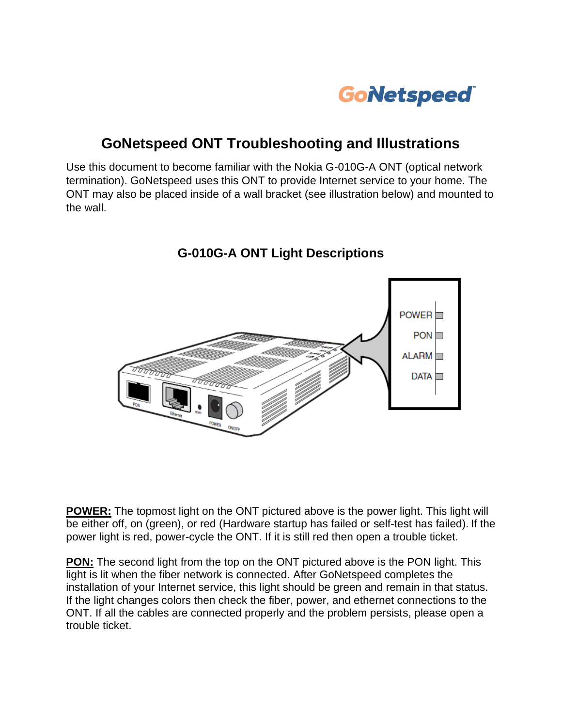

## **GoNetspeed ONT Troubleshooting and Illustrations**

Use this document to become familiar with the Nokia G-010G-A ONT (optical network termination). GoNetspeed uses this ONT to provide Internet service to your home. The ONT may also be placed inside of a wall bracket (see illustration below) and mounted to the wall.

> $Power$  $PON$ ALARM<sub>D</sub>  $DATA$

## **G-010G-A ONT Light Descriptions**

**POWER:** The topmost light on the ONT pictured above is the power light. This light will be either off, on (green), or red (Hardware startup has failed or self-test has failed). If the power light is red, power-cycle the ONT. If it is still red then open a trouble ticket.

**PON:** The second light from the top on the ONT pictured above is the PON light. This light is lit when the fiber network is connected. After GoNetspeed completes the installation of your Internet service, this light should be green and remain in that status. If the light changes colors then check the fiber, power, and ethernet connections to the ONT. If all the cables are connected properly and the problem persists, please open a trouble ticket.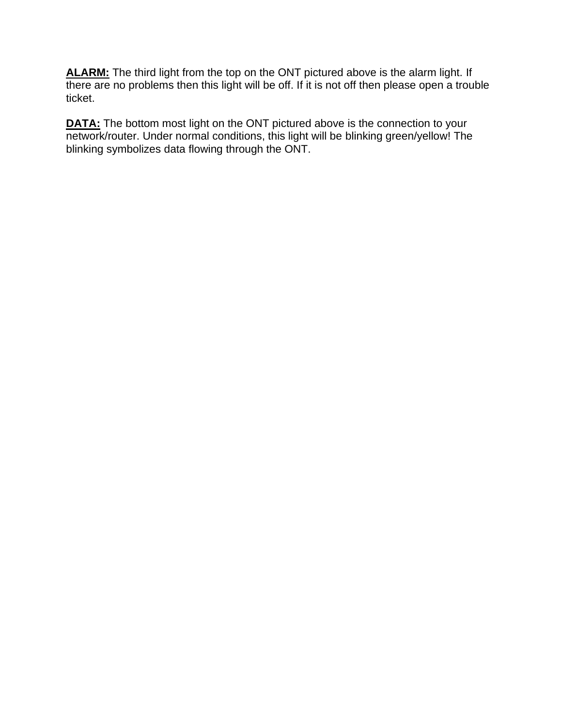ALARM: The third light from the top on the ONT pictured above is the alarm light. If there are no problems then this light will be off. If it is not off then please open a trouble ticket.

**DATA:** The bottom most light on the ONT pictured above is the connection to your network/router. Under normal conditions, this light will be blinking green/yellow! The blinking symbolizes data flowing through the ONT.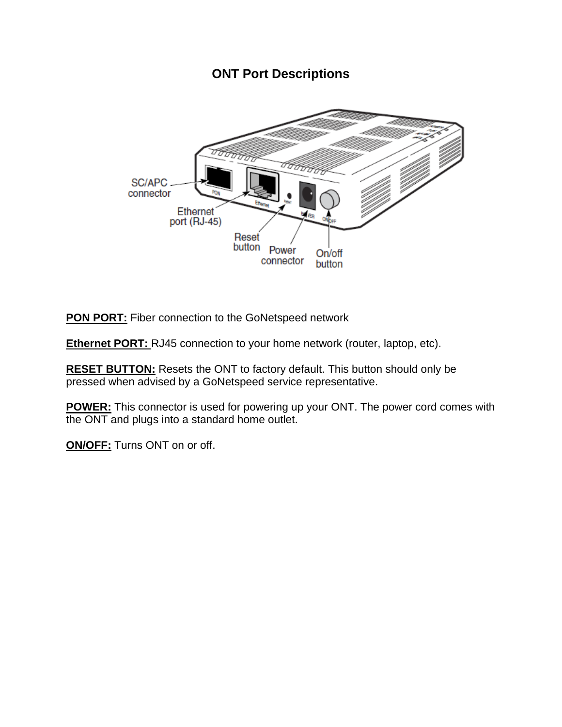## **ONT Port Descriptions**



**PON PORT:** Fiber connection to the GoNetspeed network

**Ethernet PORT:** RJ45 connection to your home network (router, laptop, etc).

**RESET BUTTON:** Resets the ONT to factory default. This button should only be pressed when advised by a GoNetspeed service representative.

**POWER:** This connector is used for powering up your ONT. The power cord comes with the ONT and plugs into a standard home outlet.

**ON/OFF:** Turns ONT on or off.